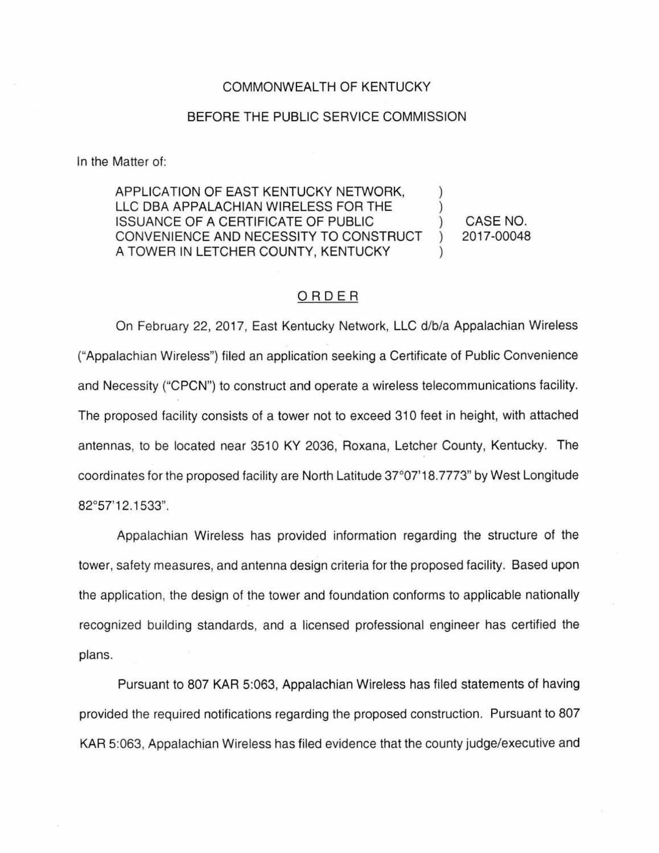## COMMONWEALTH OF KENTUCKY

## BEFORE THE PUBLIC SERVICE COMMISSION

In the Matter of:

APPLICATION OF EAST KENTUCKY NETWORK, LLC DBA APPALACHIAN WIRELESS FOR THE ISSUANCE OF A CERTIFICATE OF PUBLIC ) CONVENIENCE AND NECESSITY TO CONSTRUCT A TOWER IN LETCHER COUNTY, KENTUCKY

CASE NO. 2017-00048

## ORDER

On February 22, 2017, East Kentucky Network, LLC d/b/a Appalachian Wireless ("Appalachian Wireless") filed an application seeking a Certificate of Public Convenience and Necessity ("CPCN") to construct and operate a wireless telecommunications facility. The proposed facility consists of a tower not to exceed 310 feet in height, with attached antennas, to be located near 3510 KY 2036, Roxana, Letcher County, Kentucky. The coordinates for the proposed facility are North Latitude 37°07'18.7773" by West Longitude 82°57'12.1533".

Appalachian Wireless has provided information regarding the structure of the tower, safety measures, and antenna design criteria for the proposed facility. Based upon the application, the design of the tower and foundation conforms to applicable nationally recognized building standards, and a licensed professional engineer has certified the plans.

Pursuant to 807 KAR 5:063, Appalachian Wireless has filed statements of having provided the required notifications regarding the proposed construction. Pursuant to 807 KAR 5:063, Appalachian Wireless has filed evidence that the county judge/executive and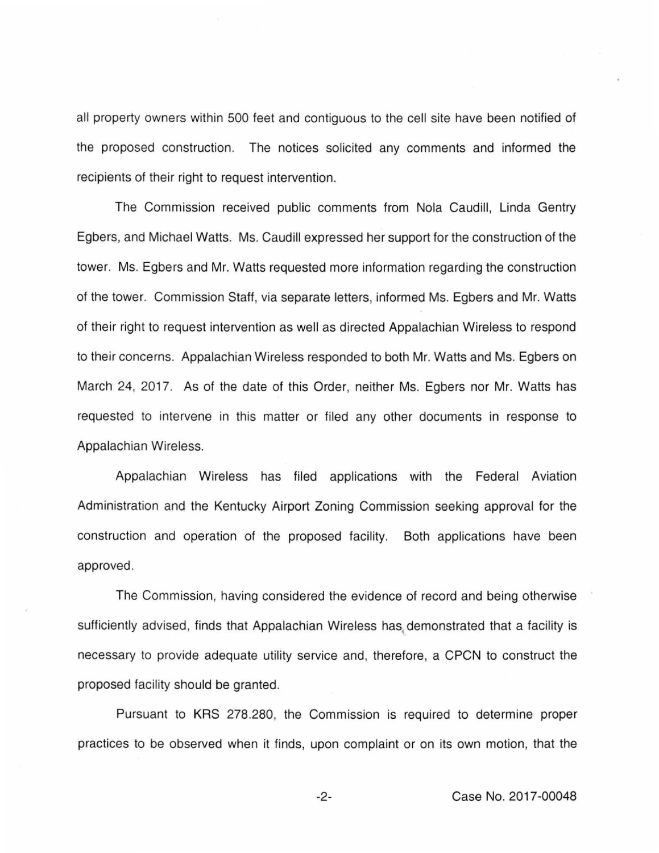all property owners within 500 feet and contiguous to the cell site have been notified of the proposed construction. The notices solicited any comments and informed the recipients of their right to request intervention.

The Commission received public comments from Nola Caudill, Linda Gentry Egbers, and Michael Watts. Ms. Caudill expressed her support for the construction of the tower. Ms. Egbers and Mr. Watts requested more information regarding the construction of the tower. Commission Staff, via separate letters, informed Ms. Egbers and Mr. Watts of their right to request intervention as well as directed Appalachian Wireless to respond to their concerns. Appalachian Wireless responded to both Mr. Watts and Ms. Egbers on March 24, 2017. As of the date of this Order, neither Ms. Egbers nor Mr. Watts has requested to intervene in this matter or filed any other documents in response to Appalachian Wireless.

Appalachian Wireless has filed applications with the Federal Aviation Administration and the Kentucky Airport Zoning Commission seeking approval for the construction and operation of the proposed facility. Both applications have been approved.

The Commission, having considered the evidence of record and being otherwise sufficiently advised, finds that Appalachian Wireless has, demonstrated that a facility is necessary to provide adequate utility service and, therefore, a CPCN to construct the proposed facility should be granted.

Pursuant to KRS 278.280, the Commission is required to determine proper practices to be observed when it finds, upon complaint or on its own motion, that the

-2- Case No. 2017-00048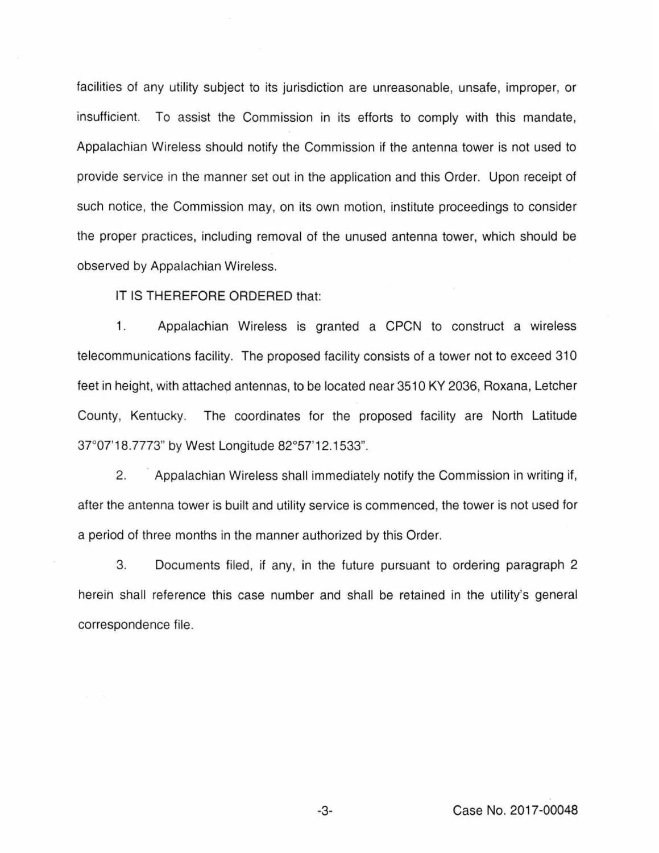facilities of any utility subject to its jurisdiction are unreasonable, unsafe, improper, or insufficient. To assist the Commission in its efforts to comply with this mandate, Appalachian Wireless should notify the Commission if the antenna tower is not used to provide service in the manner set out in the application and this Order. Upon receipt of such notice, the Commission may, on its own motion, institute proceedings to consider the proper practices, including removal of the unused antenna tower, which should be observed by Appalachian Wireless.

IT IS THEREFORE ORDERED that:

1. Appalachian Wireless is granted a CPCN to construct a wireless telecommunications facility. The proposed facility consists of a tower not to exceed 310 feet in height, with attached antennas, to be located near 3510 KY 2036, Roxana, Letcher County, Kentucky. The coordinates for the proposed facility are North Latitude 37°07'18.7773" by West Longitude 82°57'12.1533".

2. Appalachian Wireless shall immediately notify the Commission in writing if, after the antenna tower is built and utility service is commenced, the tower is not used for a period of three months in the manner authorized by this Order.

3. Documents filed, if any, in the future pursuant to ordering paragraph 2 herein shall reference this case number and shall be retained in the utility's general correspondence file.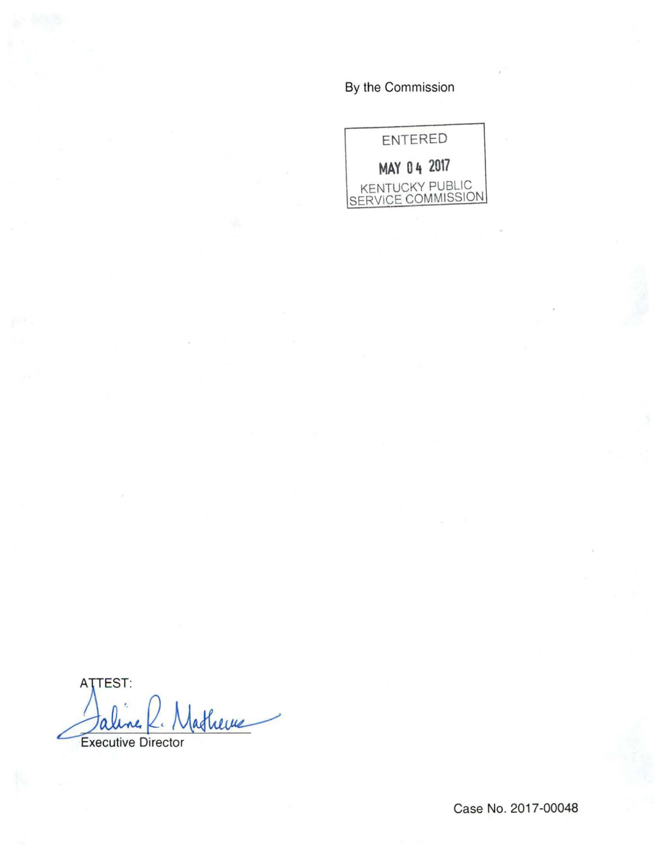By the Commission

ENTERED **MAY 0 4 2017**  KENTUCKY PUBLIC SERVICE COMMISSION

**ATTEST:** atherne Executive Director

Case No. 2017-00048